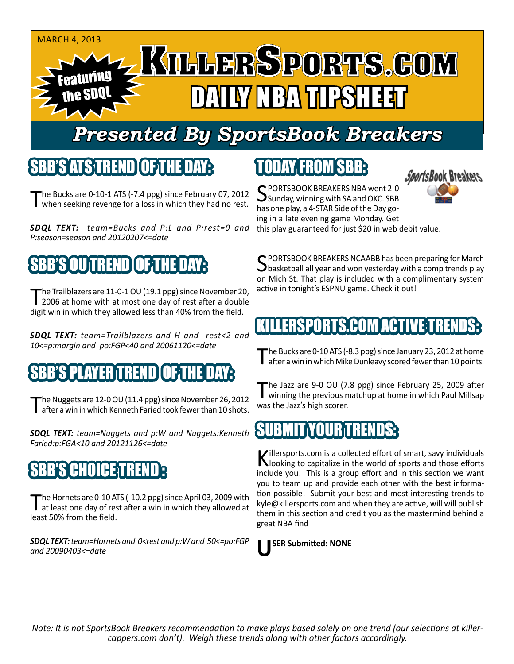#### MARCH 4, 2013 Featuring the SDQL NAY NBA TIPSHEET

## *Presented By SportsBook Breakers*

#### SBB'S ATS TREN

he Bucks are 0-10-1 ATS (-7.4 ppg) since February 07, 2012 when seeking revenge for a loss in which they had no rest.

*SDQL TEXT: team=Bucks and P:L and P:rest=0 and P:season=season and 20120207<=date*

## BB'S OU TREND TOF THE DAY

The Trailblazers are 11-0-1 OU (19.1 ppg) since November 20,<br>2006 at home with at most one day of rest after a double digit win in which they allowed less than 40% from the field.

*SDQL TEXT: team=Trailblazers and H and rest<2 and 10<=p:margin and po:FGP<40 and 20061120<=date*

### S PLAYERTREND

The Nuggets are 12-0 OU (11.4 ppg) since November 26, 2012<br>Tafter a win in which Kenneth Faried took fewer than 10 shots.

*SDQL TEXT: team=Nuggets and p:W and Nuggets:Kenneth Faried:p:FGA<10 and 20121126<=date*

## SB'IIIH 31

The Hornets are 0-10 ATS (-10.2 ppg) since April 03, 2009 with<br>at least one day of rest after a win in which they allowed at least 50% from the field.

*SDQL TEXT: team=Hornets and 0<rest and p:W and 50<=po:FGP and 20090403<=date*

# TODAY FROM SBB:



SPORTSBOOK BREAKERS NBA went 2-0<br>Sunday, winning with SA and OKC. SBB has one play, a 4-STAR Side of the Day going in a late evening game Monday. Get this play guaranteed for just \$20 in web debit value.

C PORTSBOOK BREAKERS NCAABB has been preparing for March  $\bigcup$  basketball all year and won yesterday with a comp trends play on Mich St. That play is included with a complimentary system active in tonight's ESPNU game. Check it out!

#### TS.COM ACT

The Bucks are 0-10 ATS (-8.3 ppg) since January 23, 2012 at home<br>after a win in which Mike Dunleavy scored fewer than 10 points.

The Jazz are 9-0 OU (7.8 ppg) since February 25, 2009 after<br>winning the previous matchup at home in which Paul Millsap was the Jazz's high scorer.

#### IB MIT NOURT

Killersports.com is a collected effort of smart, savy individuals<br>Nooking to capitalize in the world of sports and those efforts include you! This is a group effort and in this section we want you to team up and provide each other with the best information possible! Submit your best and most interesting trends to kyle@killersports.com and when they are active, will will publish them in this section and credit you as the mastermind behind a great NBA find



*Note: It is not SportsBook Breakers recommendation to make plays based solely on one trend (our selections at killercappers.com don't). Weigh these trends along with other factors accordingly.*